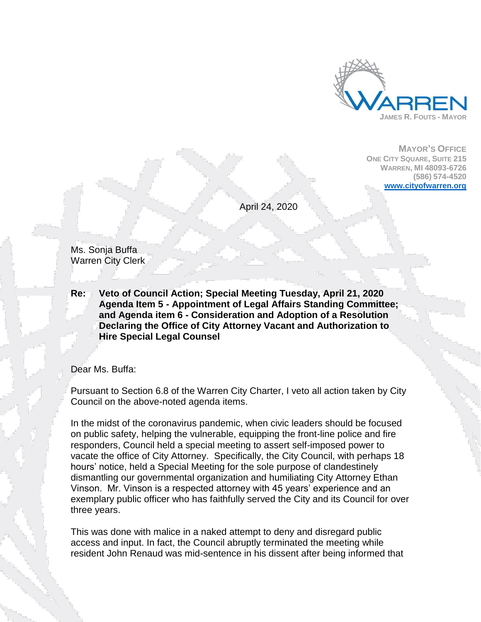

**MAYOR'S OFFICE ONE CITY SQUARE, SUITE 215 WARREN, MI 48093-6726 (586) 574-4520 [www.cityofwarren.org](http://www.cityofwarren.org/)**

April 24, 2020

Ms. Sonja Buffa Warren City Clerk

**Re: Veto of Council Action; Special Meeting Tuesday, April 21, 2020 Agenda Item 5 - Appointment of Legal Affairs Standing Committee; and Agenda item 6 - Consideration and Adoption of a Resolution Declaring the Office of City Attorney Vacant and Authorization to Hire Special Legal Counsel**

Dear Ms. Buffa:

Pursuant to Section 6.8 of the Warren City Charter, I veto all action taken by City Council on the above-noted agenda items.

In the midst of the coronavirus pandemic, when civic leaders should be focused on public safety, helping the vulnerable, equipping the front-line police and fire responders, Council held a special meeting to assert self-imposed power to vacate the office of City Attorney. Specifically, the City Council, with perhaps 18 hours' notice, held a Special Meeting for the sole purpose of clandestinely dismantling our governmental organization and humiliating City Attorney Ethan Vinson. Mr. Vinson is a respected attorney with 45 years' experience and an exemplary public officer who has faithfully served the City and its Council for over three years.

This was done with malice in a naked attempt to deny and disregard public access and input. In fact, the Council abruptly terminated the meeting while resident John Renaud was mid-sentence in his dissent after being informed that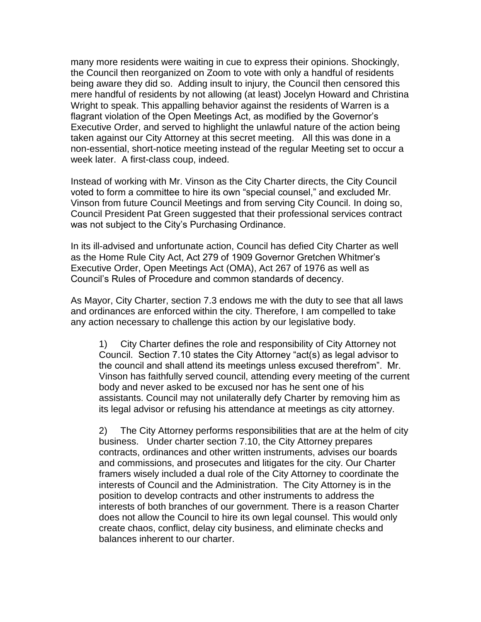many more residents were waiting in cue to express their opinions. Shockingly, the Council then reorganized on Zoom to vote with only a handful of residents being aware they did so. Adding insult to injury, the Council then censored this mere handful of residents by not allowing (at least) Jocelyn Howard and Christina Wright to speak. This appalling behavior against the residents of Warren is a flagrant violation of the Open Meetings Act, as modified by the Governor's Executive Order, and served to highlight the unlawful nature of the action being taken against our City Attorney at this secret meeting. All this was done in a non-essential, short-notice meeting instead of the regular Meeting set to occur a week later. A first-class coup, indeed.

Instead of working with Mr. Vinson as the City Charter directs, the City Council voted to form a committee to hire its own "special counsel," and excluded Mr. Vinson from future Council Meetings and from serving City Council. In doing so, Council President Pat Green suggested that their professional services contract was not subject to the City's Purchasing Ordinance.

In its ill-advised and unfortunate action, Council has defied City Charter as well as the Home Rule City Act, Act 279 of 1909 Governor Gretchen Whitmer's Executive Order, Open Meetings Act (OMA), Act 267 of 1976 as well as Council's Rules of Procedure and common standards of decency.

As Mayor, City Charter, section 7.3 endows me with the duty to see that all laws and ordinances are enforced within the city. Therefore, I am compelled to take any action necessary to challenge this action by our legislative body.

1) City Charter defines the role and responsibility of City Attorney not Council. Section 7.10 states the City Attorney "act(s) as legal advisor to the council and shall attend its meetings unless excused therefrom". Mr. Vinson has faithfully served council, attending every meeting of the current body and never asked to be excused nor has he sent one of his assistants. Council may not unilaterally defy Charter by removing him as its legal advisor or refusing his attendance at meetings as city attorney.

2) The City Attorney performs responsibilities that are at the helm of city business. Under charter section 7.10, the City Attorney prepares contracts, ordinances and other written instruments, advises our boards and commissions, and prosecutes and litigates for the city. Our Charter framers wisely included a dual role of the City Attorney to coordinate the interests of Council and the Administration. The City Attorney is in the position to develop contracts and other instruments to address the interests of both branches of our government. There is a reason Charter does not allow the Council to hire its own legal counsel. This would only create chaos, conflict, delay city business, and eliminate checks and balances inherent to our charter.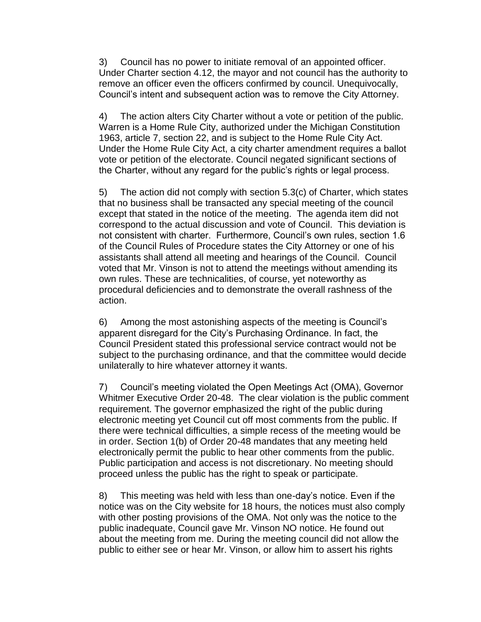3) Council has no power to initiate removal of an appointed officer. Under Charter section 4.12, the mayor and not council has the authority to remove an officer even the officers confirmed by council. Unequivocally, Council's intent and subsequent action was to remove the City Attorney.

4) The action alters City Charter without a vote or petition of the public. Warren is a Home Rule City, authorized under the Michigan Constitution 1963, article 7, section 22, and is subject to the Home Rule City Act. Under the Home Rule City Act, a city charter amendment requires a ballot vote or petition of the electorate. Council negated significant sections of the Charter, without any regard for the public's rights or legal process.

5) The action did not comply with section 5.3(c) of Charter, which states that no business shall be transacted any special meeting of the council except that stated in the notice of the meeting. The agenda item did not correspond to the actual discussion and vote of Council. This deviation is not consistent with charter. Furthermore, Council's own rules, section 1.6 of the Council Rules of Procedure states the City Attorney or one of his assistants shall attend all meeting and hearings of the Council. Council voted that Mr. Vinson is not to attend the meetings without amending its own rules. These are technicalities, of course, yet noteworthy as procedural deficiencies and to demonstrate the overall rashness of the action.

6) Among the most astonishing aspects of the meeting is Council's apparent disregard for the City's Purchasing Ordinance. In fact, the Council President stated this professional service contract would not be subject to the purchasing ordinance, and that the committee would decide unilaterally to hire whatever attorney it wants.

7) Council's meeting violated the Open Meetings Act (OMA), Governor Whitmer Executive Order 20-48. The clear violation is the public comment requirement. The governor emphasized the right of the public during electronic meeting yet Council cut off most comments from the public. If there were technical difficulties, a simple recess of the meeting would be in order. Section 1(b) of Order 20-48 mandates that any meeting held electronically permit the public to hear other comments from the public. Public participation and access is not discretionary. No meeting should proceed unless the public has the right to speak or participate.

8) This meeting was held with less than one-day's notice. Even if the notice was on the City website for 18 hours, the notices must also comply with other posting provisions of the OMA. Not only was the notice to the public inadequate, Council gave Mr. Vinson NO notice. He found out about the meeting from me. During the meeting council did not allow the public to either see or hear Mr. Vinson, or allow him to assert his rights